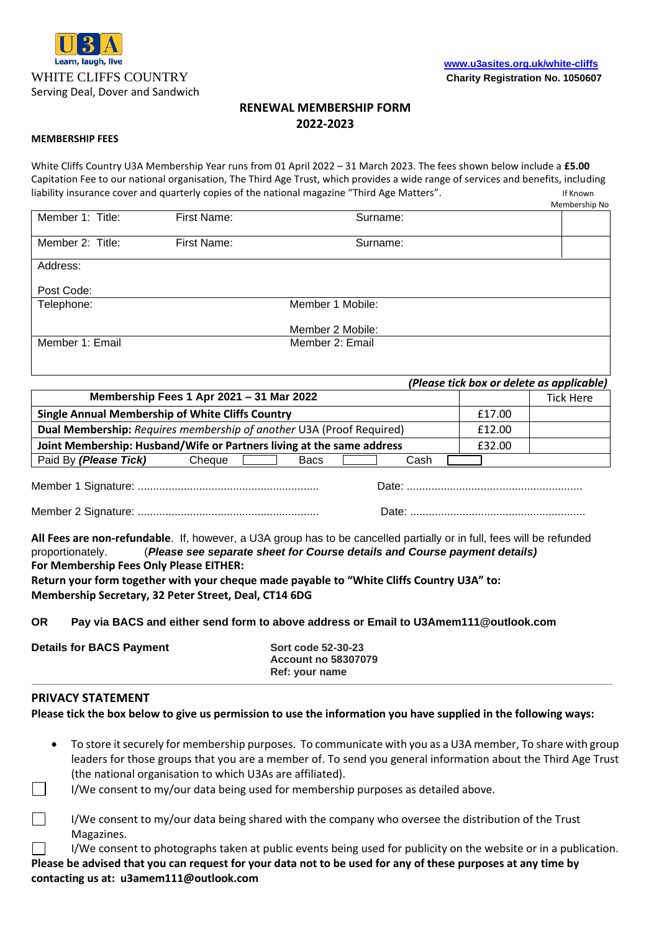

# **RENEWAL MEMBERSHIP FORM 2022-2023**

#### **MEMBERSHIP FEES**

White Cliffs Country U3A Membership Year runs from 01 April 2022 – 31 March 2023. The fees shown below include a **£5.00** Capitation Fee to our national organisation, The Third Age Trust, which provides a wide range of services and benefits, including liability insurance cover and quarterly copies of the national magazine "Third Age Matters". The magazine of Known

|                  |             |                  | Membership No |
|------------------|-------------|------------------|---------------|
| Member 1: Title: | First Name: | Surname:         |               |
| Member 2: Title: | First Name: | Surname:         |               |
| Address:         |             |                  |               |
| Post Code:       |             |                  |               |
| Telephone:       |             | Member 1 Mobile: |               |
|                  |             | Member 2 Mobile: |               |
| Member 1: Email  |             | Member 2: Email  |               |

| (Please tick box or delete as applicable)                             |  |                  |
|-----------------------------------------------------------------------|--|------------------|
| Membership Fees 1 Apr 2021 - 31 Mar 2022                              |  | <b>Tick Here</b> |
| Single Annual Membership of White Cliffs Country                      |  |                  |
| Dual Membership: Requires membership of another U3A (Proof Required)  |  |                  |
| Joint Membership: Husband/Wife or Partners living at the same address |  |                  |
| Paid By (Please Tick)<br>Cheque<br>Cash<br><b>Bacs</b>                |  |                  |
|                                                                       |  |                  |

Member 1 Signature: ........................................................... Date: .........................................................

Member 2 Signature: ........................................................... Date: .........................................................

**All Fees are non-refundable**. If, however, a U3A group has to be cancelled partially or in full, fees will be refunded proportionately. (*Please see separate sheet for Course details and Course payment details)* **For Membership Fees Only Please EITHER: Return your form together with your cheque made payable to "White Cliffs Country U3A" to: Membership Secretary, 32 Peter Street, Deal, CT14 6DG**

**OR Pay via BACS and either send form to above address or Email to U3Amem111@outlook.com**

| <b>Details for BACS Payment</b> | <b>Sort code 52-30-23</b>  |  |
|---------------------------------|----------------------------|--|
|                                 | <b>Account no 58307079</b> |  |
|                                 | Ref: your name             |  |

### **PRIVACY STATEMENT**

**Please tick the box below to give us permission to use the information you have supplied in the following ways:**

- To store it securely for membership purposes. To communicate with you as a U3A member, To share with group leaders for those groups that you are a member of. To send you general information about the Third Age Trust (the national organisation to which U3As are affiliated).
- I/We consent to my/our data being used for membership purposes as detailed above.

| I/We consent to my/our data being shared with the company who oversee the distribution of the Trust |
|-----------------------------------------------------------------------------------------------------|
| Magazines.                                                                                          |

 $\perp$ I/We consent to photographs taken at public events being used for publicity on the website or in a publication. **Please be advised that you can request for your data not to be used for any of these purposes at any time by contacting us at: u3amem111@outlook.com**